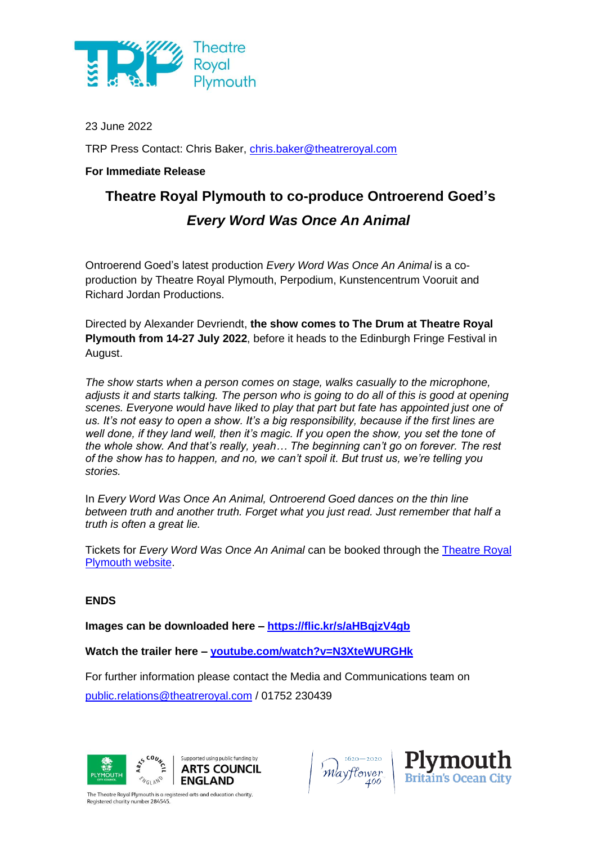

23 June 2022

TRP Press Contact: Chris Baker, [chris.baker@theatreroyal.com](mailto:chris.baker@theatreroyal.com)

## **For Immediate Release**

# **Theatre Royal Plymouth to co-produce Ontroerend Goed's**  *Every Word Was Once An Animal*

Ontroerend Goed's latest production *Every Word Was Once An Animal* is a coproduction by Theatre Royal Plymouth, Perpodium, Kunstencentrum Vooruit and Richard Jordan Productions.

Directed by Alexander Devriendt, **the show comes to The Drum at Theatre Royal Plymouth from 14-27 July 2022**, before it heads to the Edinburgh Fringe Festival in August.

*The show starts when a person comes on stage, walks casually to the microphone, adjusts it and starts talking. The person who is going to do all of this is good at opening scenes. Everyone would have liked to play that part but fate has appointed just one of us. It's not easy to open a show. It's a big responsibility, because if the first lines are well done, if they land well, then it's magic. If you open the show, you set the tone of the whole show. And that's really, yeah… The beginning can't go on forever. The rest of the show has to happen, and no, we can't spoil it. But trust us, we're telling you stories.*

In *Every Word Was Once An Animal, Ontroerend Goed dances on the thin line between truth and another truth. Forget what you just read. Just remember that half a truth is often a great lie.*

Tickets for *Every Word Was Once An Animal* can be booked through the [Theatre Royal](https://theatreroyal.com/whats-on/every-word-was-once-an-animal/)  [Plymouth website.](https://theatreroyal.com/whats-on/every-word-was-once-an-animal/)

#### **ENDS**

**Images can be downloaded here – <https://flic.kr/s/aHBqjzV4gb>**

**Watch the trailer here – [youtube.com/watch?v=N3XteWURGHk](https://www.youtube.com/watch?v=N3XteWURGHk)**

For further information please contact the Media and Communications team on

[public.relations@theatreroyal.com](mailto:public.relations@theatreroyal.com) / 01752 230439





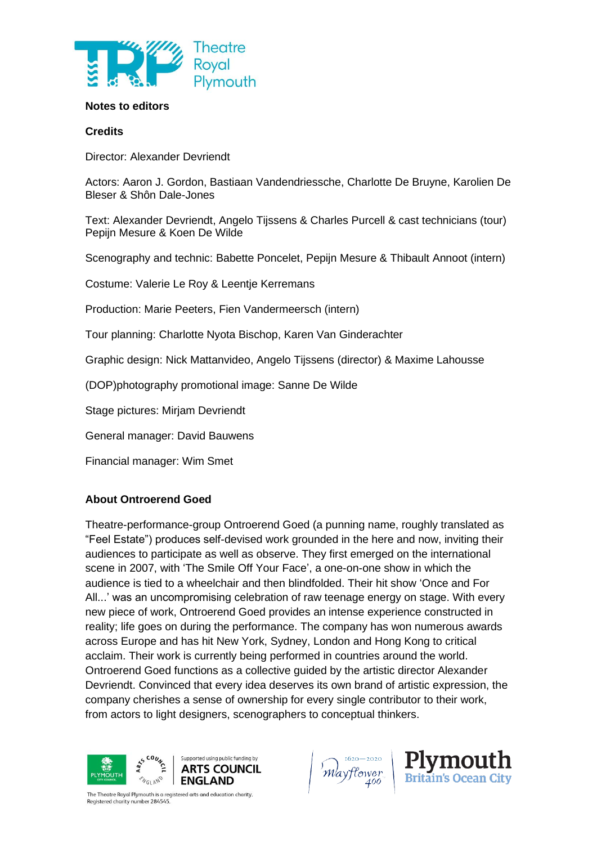

#### **Notes to editors**

#### **Credits**

Director: Alexander Devriendt

Actors: Aaron J. Gordon, Bastiaan Vandendriessche, Charlotte De Bruyne, Karolien De Bleser & Shôn Dale-Jones

Text: Alexander Devriendt, Angelo Tijssens & Charles Purcell & cast technicians (tour) Pepijn Mesure & Koen De Wilde

Scenography and technic: Babette Poncelet, Pepijn Mesure & Thibault Annoot (intern)

Costume: Valerie Le Roy & Leentje Kerremans

Production: Marie Peeters, Fien Vandermeersch (intern)

Tour planning: Charlotte Nyota Bischop, Karen Van Ginderachter

Graphic design: Nick Mattanvideo, Angelo Tijssens (director) & Maxime Lahousse

(DOP)photography promotional image: Sanne De Wilde

Stage pictures: Mirjam Devriendt

General manager: David Bauwens

Financial manager: Wim Smet

### **About Ontroerend Goed**

Theatre-performance-group Ontroerend Goed (a punning name, roughly translated as "Feel Estate") produces self-devised work grounded in the here and now, inviting their audiences to participate as well as observe. They first emerged on the international scene in 2007, with 'The Smile Off Your Face', a one-on-one show in which the audience is tied to a wheelchair and then blindfolded. Their hit show 'Once and For All...' was an uncompromising celebration of raw teenage energy on stage. With every new piece of work, Ontroerend Goed provides an intense experience constructed in reality; life goes on during the performance. The company has won numerous awards across Europe and has hit New York, Sydney, London and Hong Kong to critical acclaim. Their work is currently being performed in countries around the world. Ontroerend Goed functions as a collective guided by the artistic director Alexander Devriendt. Convinced that every idea deserves its own brand of artistic expression, the company cherishes a sense of ownership for every single contributor to their work, from actors to light designers, scenographers to conceptual thinkers.



Mayflower

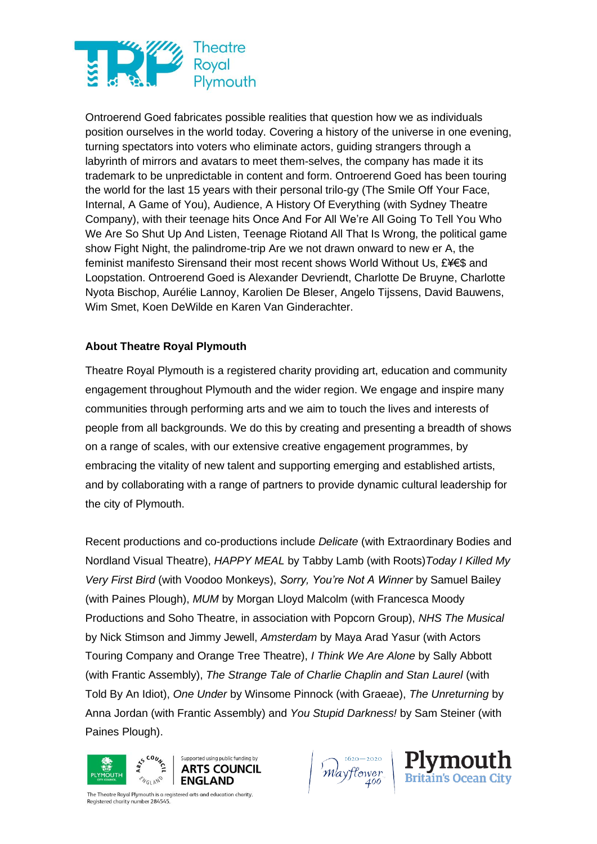

Ontroerend Goed fabricates possible realities that question how we as individuals position ourselves in the world today. Covering a history of the universe in one evening, turning spectators into voters who eliminate actors, guiding strangers through a labyrinth of mirrors and avatars to meet them-selves, the company has made it its trademark to be unpredictable in content and form. Ontroerend Goed has been touring the world for the last 15 years with their personal trilo-gy (The Smile Off Your Face, Internal, A Game of You), Audience, A History Of Everything (with Sydney Theatre Company), with their teenage hits Once And For All We're All Going To Tell You Who We Are So Shut Up And Listen, Teenage Riotand All That Is Wrong, the political game show Fight Night, the palindrome-trip Are we not drawn onward to new er A, the feminist manifesto Sirensand their most recent shows World Without Us, £¥€\$ and Loopstation. Ontroerend Goed is Alexander Devriendt, Charlotte De Bruyne, Charlotte Nyota Bischop, Aurélie Lannoy, Karolien De Bleser, Angelo Tijssens, David Bauwens, Wim Smet, Koen DeWilde en Karen Van Ginderachter.

## **About Theatre Royal Plymouth**

Theatre Royal Plymouth is a registered charity providing art, education and community engagement throughout Plymouth and the wider region. We engage and inspire many communities through performing arts and we aim to touch the lives and interests of people from all backgrounds. We do this by creating and presenting a breadth of shows on a range of scales, with our extensive creative engagement programmes, by embracing the vitality of new talent and supporting emerging and established artists, and by collaborating with a range of partners to provide dynamic cultural leadership for the city of Plymouth.

Recent productions and co-productions include *Delicate* (with Extraordinary Bodies and Nordland Visual Theatre), *HAPPY MEAL* by Tabby Lamb (with Roots)*Today I Killed My Very First Bird* (with Voodoo Monkeys), *Sorry, You're Not A Winner* by Samuel Bailey (with Paines Plough), *MUM* by Morgan Lloyd Malcolm (with Francesca Moody Productions and Soho Theatre, in association with Popcorn Group), *NHS The Musical* by Nick Stimson and Jimmy Jewell, *Amsterdam* by Maya Arad Yasur (with Actors Touring Company and Orange Tree Theatre), *I Think We Are Alone* by Sally Abbott (with Frantic Assembly), *The Strange Tale of Charlie Chaplin and Stan Laurel* (with Told By An Idiot), *One Under* by Winsome Pinnock (with Graeae), *The Unreturning* by Anna Jordan (with Frantic Assembly) and *You Stupid Darkness!* by Sam Steiner (with Paines Plough).